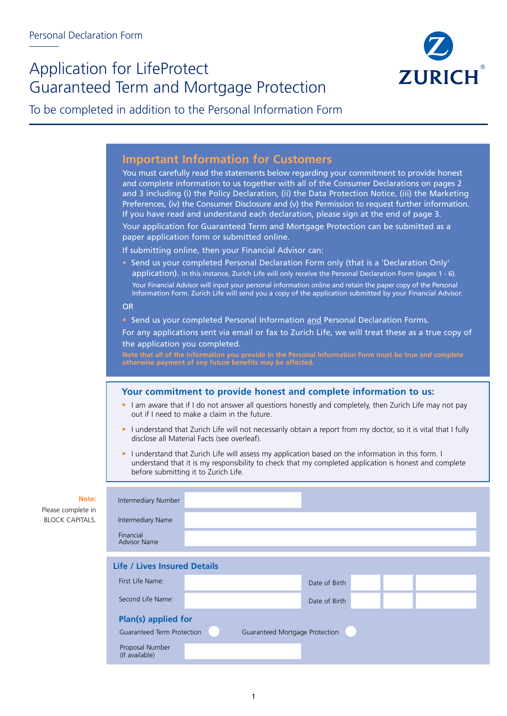# Application for LifeProtect Guaranteed Term and Mortgage Protection



To be completed in addition to the Personal Information Form

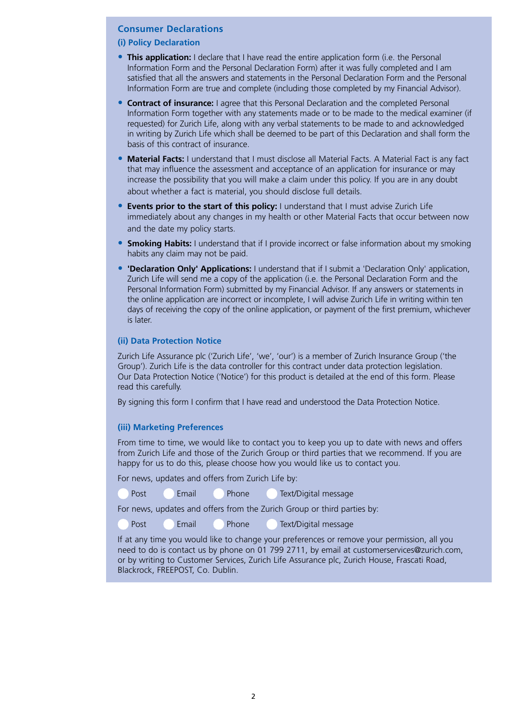# **Consumer Declarations**

# **(i) Policy Declaration**

- **This application:** I declare that I have read the entire application form (i.e. the Personal Information Form and the Personal Declaration Form) after it was fully completed and I am satisfied that all the answers and statements in the Personal Declaration Form and the Personal Information Form are true and complete (including those completed by my Financial Advisor).
- **Contract of insurance:** I agree that this Personal Declaration and the completed Personal Information Form together with any statements made or to be made to the medical examiner (if requested) for Zurich Life, along with any verbal statements to be made to and acknowledged in writing by Zurich Life which shall be deemed to be part of this Declaration and shall form the basis of this contract of insurance.
- **Material Facts:** I understand that I must disclose all Material Facts. A Material Fact is any fact that may influence the assessment and acceptance of an application for insurance or may increase the possibility that you will make a claim under this policy. If you are in any doubt about whether a fact is material, you should disclose full details.
- **Events prior to the start of this policy:** I understand that I must advise Zurich Life immediately about any changes in my health or other Material Facts that occur between now and the date my policy starts.
- **Smoking Habits:** I understand that if I provide incorrect or false information about my smoking habits any claim may not be paid.
- **'Declaration Only' Applications:** I understand that if I submit a 'Declaration Only' application, Zurich Life will send me a copy of the application (i.e. the Personal Declaration Form and the Personal Information Form) submitted by my Financial Advisor. If any answers or statements in the online application are incorrect or incomplete, I will advise Zurich Life in writing within ten days of receiving the copy of the online application, or payment of the first premium, whichever is later.

# **(ii) Data Protection Notice**

Zurich Life Assurance plc ('Zurich Life', 'we', 'our') is a member of Zurich Insurance Group ('the Group'). Zurich Life is the data controller for this contract under data protection legislation. Our Data Protection Notice ('Notice') for this product is detailed at the end of this form. Please read this carefully.

By signing this form I confirm that I have read and understood the Data Protection Notice.

# **(iii) Marketing Preferences**

From time to time, we would like to contact you to keep you up to date with news and offers from Zurich Life and those of the Zurich Group or third parties that we recommend. If you are happy for us to do this, please choose how you would like us to contact you.

For news, updates and offers from Zurich Life by:

| Post | Email | Phone | Text/Digital message |
|------|-------|-------|----------------------|
|      |       |       |                      |

For news, updates and offers from the Zurich Group or third parties by:

Post Email Phone Text/Digital message

If at any time you would like to change your preferences or remove your permission, all you need to do is contact us by phone on 01 799 2711, by email at customerservices@zurich.com, or by writing to Customer Services, Zurich Life Assurance plc, Zurich House, Frascati Road, Blackrock, FREEPOST, Co. Dublin.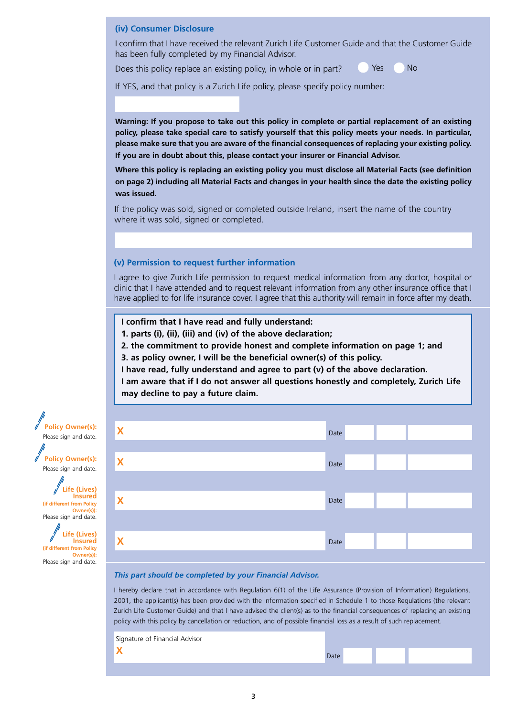# **(iv) Consumer Disclosure**

I confirm that I have received the relevant Zurich Life Customer Guide and that the Customer Guide has been fully completed by my Financial Advisor.

Does this policy replace an existing policy, in whole or in part?

Yes No

If YES, and that policy is a Zurich Life policy, please specify policy number:

**Warning: If you propose to take out this policy in complete or partial replacement of an existing policy, please take special care to satisfy yourself that this policy meets your needs. In particular, please make sure that you are aware of the financial consequences of replacing your existing policy. If you are in doubt about this, please contact your insurer or Financial Advisor.** 

**Where this policy is replacing an existing policy you must disclose all Material Facts (see definition on page 2) including all Material Facts and changes in your health since the date the existing policy was issued.**

If the policy was sold, signed or completed outside Ireland, insert the name of the country where it was sold, signed or completed.

# **(v) Permission to request further information**

I agree to give Zurich Life permission to request medical information from any doctor, hospital or clinic that I have attended and to request relevant information from any other insurance office that I have applied to for life insurance cover. I agree that this authority will remain in force after my death.

**I confirm that I have read and fully understand:** 

**1. parts (i), (ii), (iii) and (iv) of the above declaration;**

**2. the commitment to provide honest and complete information on page 1; and** 

**3. as policy owner, I will be the beneficial owner(s) of this policy.** 

**I have read, fully understand and agree to part (v) of the above declaration.**

**I am aware that if I do not answer all questions honestly and completely, Zurich Life may decline to pay a future claim.**

| X | Date |
|---|------|
| X | Date |
| X | Date |
|   |      |
| X | Date |

### *This part should be completed by your Financial Advisor.*

I hereby declare that in accordance with Regulation 6(1) of the Life Assurance (Provision of Information) Regulations, 2001, the applicant(s) has been provided with the information specified in Schedule 1 to those Regulations (the relevant Zurich Life Customer Guide) and that I have advised the client(s) as to the financial consequences of replacing an existing policy with this policy by cancellation or reduction, and of possible financial loss as a result of such replacement.

| Signature of Financial Advisor |             |  |  |
|--------------------------------|-------------|--|--|
|                                | <b>Date</b> |  |  |
|                                |             |  |  |



**Policy Owner(s):**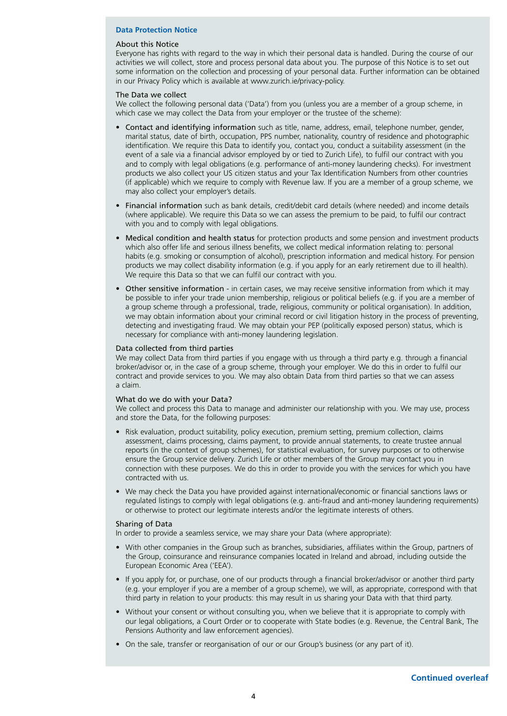# **Data Protection Notice**

#### About this Notice

Everyone has rights with regard to the way in which their personal data is handled. During the course of our activities we will collect, store and process personal data about you. The purpose of this Notice is to set out some information on the collection and processing of your personal data. Further information can be obtained in our Privacy Policy which is available at www.zurich.ie/privacy-policy.

#### The Data we collect

We collect the following personal data ('Data') from you (unless you are a member of a group scheme, in which case we may collect the Data from your employer or the trustee of the scheme):

- Contact and identifying information such as title, name, address, email, telephone number, gender, marital status, date of birth, occupation, PPS number, nationality, country of residence and photographic identification. We require this Data to identify you, contact you, conduct a suitability assessment (in the event of a sale via a financial advisor employed by or tied to Zurich Life), to fulfil our contract with you and to comply with legal obligations (e.g. performance of anti-money laundering checks). For investment products we also collect your US citizen status and your Tax Identification Numbers from other countries (if applicable) which we require to comply with Revenue law. If you are a member of a group scheme, we may also collect your employer's details.
- Financial information such as bank details, credit/debit card details (where needed) and income details (where applicable). We require this Data so we can assess the premium to be paid, to fulfil our contract with you and to comply with legal obligations.
- Medical condition and health status for protection products and some pension and investment products which also offer life and serious illness benefits, we collect medical information relating to: personal habits (e.g. smoking or consumption of alcohol), prescription information and medical history. For pension products we may collect disability information (e.g. if you apply for an early retirement due to ill health). We require this Data so that we can fulfil our contract with you.
- Other sensitive information in certain cases, we may receive sensitive information from which it may be possible to infer your trade union membership, religious or political beliefs (e.g. if you are a member of a group scheme through a professional, trade, religious, community or political organisation). In addition, we may obtain information about your criminal record or civil litigation history in the process of preventing, detecting and investigating fraud. We may obtain your PEP (politically exposed person) status, which is necessary for compliance with anti-money laundering legislation.

# Data collected from third parties

We may collect Data from third parties if you engage with us through a third party e.g. through a financial broker/advisor or, in the case of a group scheme, through your employer. We do this in order to fulfil our contract and provide services to you. We may also obtain Data from third parties so that we can assess a claim.

#### What do we do with your Data?

We collect and process this Data to manage and administer our relationship with you. We may use, process and store the Data, for the following purposes:

- Risk evaluation, product suitability, policy execution, premium setting, premium collection, claims assessment, claims processing, claims payment, to provide annual statements, to create trustee annual reports (in the context of group schemes), for statistical evaluation, for survey purposes or to otherwise ensure the Group service delivery. Zurich Life or other members of the Group may contact you in connection with these purposes. We do this in order to provide you with the services for which you have contracted with us.
- We may check the Data you have provided against international/economic or financial sanctions laws or regulated listings to comply with legal obligations (e.g. anti-fraud and anti-money laundering requirements) or otherwise to protect our legitimate interests and/or the legitimate interests of others.

#### Sharing of Data

In order to provide a seamless service, we may share your Data (where appropriate):

- With other companies in the Group such as branches, subsidiaries, affiliates within the Group, partners of the Group, coinsurance and reinsurance companies located in Ireland and abroad, including outside the European Economic Area ('EEA').
- If you apply for, or purchase, one of our products through a financial broker/advisor or another third party (e.g. your employer if you are a member of a group scheme), we will, as appropriate, correspond with that third party in relation to your products: this may result in us sharing your Data with that third party.
- Without your consent or without consulting you, when we believe that it is appropriate to comply with our legal obligations, a Court Order or to cooperate with State bodies (e.g. Revenue, the Central Bank, The Pensions Authority and law enforcement agencies).
- On the sale, transfer or reorganisation of our or our Group's business (or any part of it).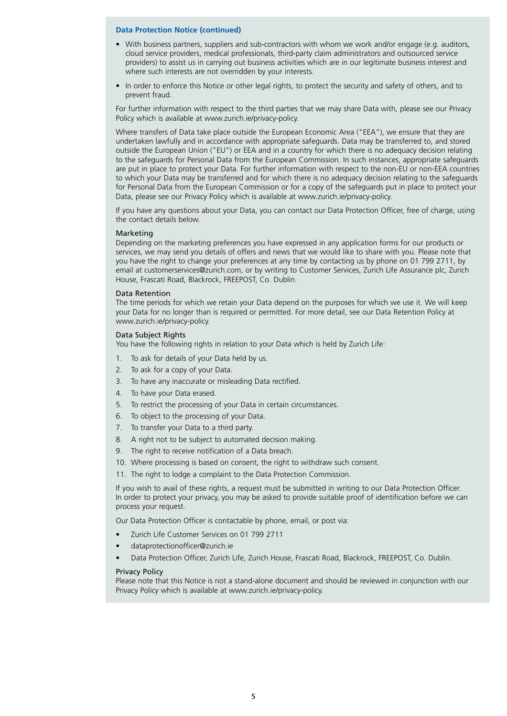#### **Data Protection Notice (continued)**

- With business partners, suppliers and sub-contractors with whom we work and/or engage (e.g. auditors, cloud service providers, medical professionals, third-party claim administrators and outsourced service providers) to assist us in carrying out business activities which are in our legitimate business interest and where such interests are not overridden by your interests.
- In order to enforce this Notice or other legal rights, to protect the security and safety of others, and to prevent fraud.

For further information with respect to the third parties that we may share Data with, please see our Privacy Policy which is available at www.zurich.ie/privacy-policy.

Where transfers of Data take place outside the European Economic Area ("EEA"), we ensure that they are undertaken lawfully and in accordance with appropriate safeguards. Data may be transferred to, and stored outside the European Union ("EU") or EEA and in a country for which there is no adequacy decision relating to the safeguards for Personal Data from the European Commission. In such instances, appropriate safeguards are put in place to protect your Data. For further information with respect to the non-EU or non-EEA countries to which your Data may be transferred and for which there is no adequacy decision relating to the safeguards for Personal Data from the European Commission or for a copy of the safeguards put in place to protect your Data, please see our Privacy Policy which is available at www.zurich.ie/privacy-policy.

If you have any questions about your Data, you can contact our Data Protection Officer, free of charge, using the contact details below.

#### Marketing

Depending on the marketing preferences you have expressed in any application forms for our products or services, we may send you details of offers and news that we would like to share with you. Please note that you have the right to change your preferences at any time by contacting us by phone on 01 799 2711, by email at customerservices@zurich.com, or by writing to Customer Services, Zurich Life Assurance plc, Zurich House, Frascati Road, Blackrock, FREEPOST, Co. Dublin.

#### Data Retention

The time periods for which we retain your Data depend on the purposes for which we use it. We will keep your Data for no longer than is required or permitted. For more detail, see our Data Retention Policy at www.zurich.ie/privacy-policy.

#### Data Subject Rights

You have the following rights in relation to your Data which is held by Zurich Life:

- 1. To ask for details of your Data held by us.
- 2. To ask for a copy of your Data.
- 3. To have any inaccurate or misleading Data rectified.
- 4. To have your Data erased.
- 5. To restrict the processing of your Data in certain circumstances.
- 6. To object to the processing of your Data.
- 7. To transfer your Data to a third party.
- 8. A right not to be subject to automated decision making.
- 9. The right to receive notification of a Data breach.
- 10. Where processing is based on consent, the right to withdraw such consent.
- 11. The right to lodge a complaint to the Data Protection Commission.

If you wish to avail of these rights, a request must be submitted in writing to our Data Protection Officer. In order to protect your privacy, you may be asked to provide suitable proof of identification before we can process your request.

Our Data Protection Officer is contactable by phone, email, or post via:

- Zurich Life Customer Services on 01 799 2711
- dataprotectionofficer@zurich.ie
- Data Protection Officer, Zurich Life, Zurich House, Frascati Road, Blackrock, FREEPOST, Co. Dublin.

#### Privacy Policy

Please note that this Notice is not a stand-alone document and should be reviewed in conjunction with our Privacy Policy which is available at www.zurich.ie/privacy-policy.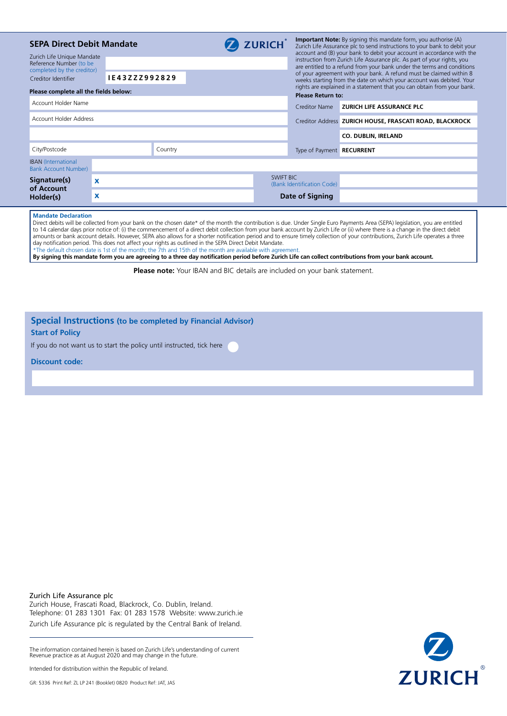| <b>SEPA Direct Debit Mandate</b><br>Zurich Life Unique Mandate<br>Reference Number (to be<br>completed by the creditor)<br>Creditor Identifier<br>Please complete all the fields below: | IE43ZZZ992829             |         | <b>ZURICH</b>    | <b>Important Note:</b> By signing this mandate form, you authorise (A)<br>Zurich Life Assurance plc to send instructions to your bank to debit your<br>account and (B) your bank to debit your account in accordance with the<br>instruction from Zurich Life Assurance plc. As part of your rights, you<br>are entitled to a refund from your bank under the terms and conditions<br>of your agreement with your bank. A refund must be claimed within 8<br>weeks starting from the date on which your account was debited. Your<br>rights are explained in a statement that you can obtain from your bank.<br><b>Please Return to:</b> |                                                         |  |
|-----------------------------------------------------------------------------------------------------------------------------------------------------------------------------------------|---------------------------|---------|------------------|------------------------------------------------------------------------------------------------------------------------------------------------------------------------------------------------------------------------------------------------------------------------------------------------------------------------------------------------------------------------------------------------------------------------------------------------------------------------------------------------------------------------------------------------------------------------------------------------------------------------------------------|---------------------------------------------------------|--|
| Account Holder Name                                                                                                                                                                     |                           |         |                  | Creditor Name                                                                                                                                                                                                                                                                                                                                                                                                                                                                                                                                                                                                                            | ZURICH LIFE ASSURANCE PLC                               |  |
| Account Holder Address                                                                                                                                                                  |                           |         |                  |                                                                                                                                                                                                                                                                                                                                                                                                                                                                                                                                                                                                                                          | Creditor Address ZURICH HOUSE, FRASCATI ROAD, BLACKROCK |  |
|                                                                                                                                                                                         |                           |         |                  |                                                                                                                                                                                                                                                                                                                                                                                                                                                                                                                                                                                                                                          | <b>CO. DUBLIN, IRELAND</b>                              |  |
| City/Postcode                                                                                                                                                                           |                           | Country |                  | Type of Payment RECURRENT                                                                                                                                                                                                                                                                                                                                                                                                                                                                                                                                                                                                                |                                                         |  |
| <b>IBAN</b> (International<br><b>Bank Account Number)</b>                                                                                                                               |                           |         |                  |                                                                                                                                                                                                                                                                                                                                                                                                                                                                                                                                                                                                                                          |                                                         |  |
| Signature(s)<br>of Account                                                                                                                                                              | $\boldsymbol{\mathsf{x}}$ |         | <b>SWIFT BIC</b> | (Bank Identification Code)                                                                                                                                                                                                                                                                                                                                                                                                                                                                                                                                                                                                               |                                                         |  |
| Holder(s)                                                                                                                                                                               | X                         |         |                  | Date of Signing                                                                                                                                                                                                                                                                                                                                                                                                                                                                                                                                                                                                                          |                                                         |  |
|                                                                                                                                                                                         |                           |         |                  |                                                                                                                                                                                                                                                                                                                                                                                                                                                                                                                                                                                                                                          |                                                         |  |

#### **Mandate Declaration**

Direct debits will be collected from your bank on the chosen date\* of the month the contribution is due. Under Single Euro Payments Area (SEPA) legislation, you are entitled to 14 calendar days prior notice of: (i) the commencement of a direct debit collection from your bank account by Zurich Life or (ii) where there is a change in the direct debit amounts or bank account details. However, SEPA also allows for a shorter notification period and to ensure timely collection of your contributions, Zurich Life operates a three day notification period. This does not affect your rights as outlined in the SEPA Direct Debit Mandate. \*The default chosen date is 1st of the month; the 7th and 15th of the month are available with agreement.

**By signing this mandate form you are agreeing to a three day notification period before Zurich Life can collect contributions from your bank account.**

**Please note:** Your IBAN and BIC details are included on your bank statement.

# **Special Instructions (to be completed by Financial Advisor) Start of Policy**

If you do not want us to start the policy until instructed, tick here

**Discount code:**

Zurich Life Assurance plc Zurich House, Frascati Road, Blackrock, Co. Dublin, Ireland. Telephone: 01 283 1301 Fax: 01 283 1578 Website: www.zurich.ie Zurich Life Assurance plc is regulated by the Central Bank of Ireland.

The information contained herein is based on Zurich Life's understanding of current Revenue practice as at August 2020 and may change in the future.

Intended for distribution within the Republic of Ireland.

GR: 5336 Print Ref: ZL LP 241 (Booklet) 0820 Product Ref: JAT, JAS

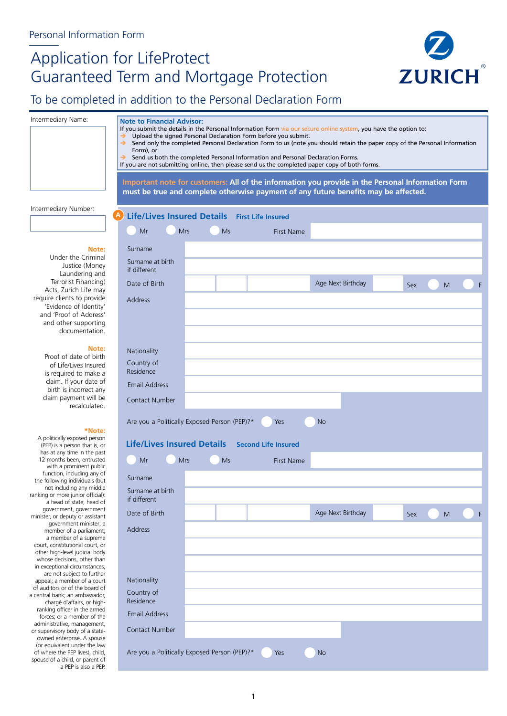# Application for LifeProtect Guaranteed Term and Mortgage Protection



# To be completed in addition to the Personal Declaration Form

| Intermediary Name:                                               | <b>Note to Financial Advisor:</b>                                                                                                                                                                 |           |                                                                                 |                                                                                                   |     |   |  |  |
|------------------------------------------------------------------|---------------------------------------------------------------------------------------------------------------------------------------------------------------------------------------------------|-----------|---------------------------------------------------------------------------------|---------------------------------------------------------------------------------------------------|-----|---|--|--|
|                                                                  | If you submit the details in the Personal Information Form via our secure online system, you have the option to:                                                                                  |           |                                                                                 |                                                                                                   |     |   |  |  |
|                                                                  | Upload the signed Personal Declaration Form before you submit.<br>→<br>Send only the completed Personal Declaration Form to us (note you should retain the paper copy of the Personal Information |           |                                                                                 |                                                                                                   |     |   |  |  |
|                                                                  | Form), or                                                                                                                                                                                         |           |                                                                                 |                                                                                                   |     |   |  |  |
|                                                                  | →                                                                                                                                                                                                 |           | Send us both the completed Personal Information and Personal Declaration Forms. |                                                                                                   |     |   |  |  |
|                                                                  | If you are not submitting online, then please send us the completed paper copy of both forms.                                                                                                     |           |                                                                                 |                                                                                                   |     |   |  |  |
|                                                                  |                                                                                                                                                                                                   |           |                                                                                 |                                                                                                   |     |   |  |  |
|                                                                  |                                                                                                                                                                                                   |           |                                                                                 | Important note for customers: All of the information you provide in the Personal Information Form |     |   |  |  |
|                                                                  |                                                                                                                                                                                                   |           |                                                                                 | must be true and complete otherwise payment of any future benefits may be affected.               |     |   |  |  |
| Intermediary Number:                                             |                                                                                                                                                                                                   |           |                                                                                 |                                                                                                   |     |   |  |  |
|                                                                  | Life/Lives Insured Details First Life Insured<br>A                                                                                                                                                |           |                                                                                 |                                                                                                   |     |   |  |  |
|                                                                  |                                                                                                                                                                                                   |           |                                                                                 |                                                                                                   |     |   |  |  |
|                                                                  | Mr<br><b>Mrs</b>                                                                                                                                                                                  | <b>Ms</b> | <b>First Name</b>                                                               |                                                                                                   |     |   |  |  |
|                                                                  |                                                                                                                                                                                                   |           |                                                                                 |                                                                                                   |     |   |  |  |
| Note:<br>Under the Criminal                                      | Surname                                                                                                                                                                                           |           |                                                                                 |                                                                                                   |     |   |  |  |
| Justice (Money                                                   | Surname at birth                                                                                                                                                                                  |           |                                                                                 |                                                                                                   |     |   |  |  |
| Laundering and                                                   | if different                                                                                                                                                                                      |           |                                                                                 |                                                                                                   |     |   |  |  |
| Terrorist Financing)                                             | Date of Birth                                                                                                                                                                                     |           |                                                                                 | Age Next Birthday                                                                                 | Sex | M |  |  |
| Acts, Zurich Life may                                            |                                                                                                                                                                                                   |           |                                                                                 |                                                                                                   |     |   |  |  |
| require clients to provide<br>'Evidence of Identity'             | <b>Address</b>                                                                                                                                                                                    |           |                                                                                 |                                                                                                   |     |   |  |  |
| and 'Proof of Address'                                           |                                                                                                                                                                                                   |           |                                                                                 |                                                                                                   |     |   |  |  |
| and other supporting                                             |                                                                                                                                                                                                   |           |                                                                                 |                                                                                                   |     |   |  |  |
| documentation.                                                   |                                                                                                                                                                                                   |           |                                                                                 |                                                                                                   |     |   |  |  |
|                                                                  |                                                                                                                                                                                                   |           |                                                                                 |                                                                                                   |     |   |  |  |
| Note:                                                            | Nationality                                                                                                                                                                                       |           |                                                                                 |                                                                                                   |     |   |  |  |
| Proof of date of birth                                           | Country of                                                                                                                                                                                        |           |                                                                                 |                                                                                                   |     |   |  |  |
| of Life/Lives Insured                                            | Residence                                                                                                                                                                                         |           |                                                                                 |                                                                                                   |     |   |  |  |
| is required to make a<br>claim. If your date of                  |                                                                                                                                                                                                   |           |                                                                                 |                                                                                                   |     |   |  |  |
| birth is incorrect any                                           | Email Address                                                                                                                                                                                     |           |                                                                                 |                                                                                                   |     |   |  |  |
| claim payment will be                                            | <b>Contact Number</b>                                                                                                                                                                             |           |                                                                                 |                                                                                                   |     |   |  |  |
| recalculated.                                                    |                                                                                                                                                                                                   |           |                                                                                 |                                                                                                   |     |   |  |  |
|                                                                  | Are you a Politically Exposed Person (PEP)?*                                                                                                                                                      |           | Yes                                                                             | <b>No</b>                                                                                         |     |   |  |  |
| *Note:                                                           |                                                                                                                                                                                                   |           |                                                                                 |                                                                                                   |     |   |  |  |
| A politically exposed person                                     |                                                                                                                                                                                                   |           |                                                                                 |                                                                                                   |     |   |  |  |
| (PEP) is a person that is, or                                    | <b>Life/Lives Insured Details</b>                                                                                                                                                                 |           | <b>Second Life Insured</b>                                                      |                                                                                                   |     |   |  |  |
| has at any time in the past<br>12 months been, entrusted         | Mr<br><b>Mrs</b>                                                                                                                                                                                  | Ms        | First Name                                                                      |                                                                                                   |     |   |  |  |
| with a prominent public                                          |                                                                                                                                                                                                   |           |                                                                                 |                                                                                                   |     |   |  |  |
| function, including any of<br>the following individuals (but     | Surname                                                                                                                                                                                           |           |                                                                                 |                                                                                                   |     |   |  |  |
| not including any middle                                         |                                                                                                                                                                                                   |           |                                                                                 |                                                                                                   |     |   |  |  |
| ranking or more junior official):                                | Surname at birth<br>if different                                                                                                                                                                  |           |                                                                                 |                                                                                                   |     |   |  |  |
| a head of state, head of<br>government, government               |                                                                                                                                                                                                   |           |                                                                                 |                                                                                                   |     |   |  |  |
| minister, or deputy or assistant                                 | Date of Birth                                                                                                                                                                                     |           |                                                                                 | Age Next Birthday                                                                                 | Sex | M |  |  |
| government minister; a                                           | <b>Address</b>                                                                                                                                                                                    |           |                                                                                 |                                                                                                   |     |   |  |  |
| member of a parliament;<br>a member of a supreme                 |                                                                                                                                                                                                   |           |                                                                                 |                                                                                                   |     |   |  |  |
| court, constitutional court, or                                  |                                                                                                                                                                                                   |           |                                                                                 |                                                                                                   |     |   |  |  |
| other high-level judicial body                                   |                                                                                                                                                                                                   |           |                                                                                 |                                                                                                   |     |   |  |  |
| whose decisions, other than<br>in exceptional circumstances,     |                                                                                                                                                                                                   |           |                                                                                 |                                                                                                   |     |   |  |  |
| are not subject to further                                       |                                                                                                                                                                                                   |           |                                                                                 |                                                                                                   |     |   |  |  |
| appeal; a member of a court                                      | Nationality                                                                                                                                                                                       |           |                                                                                 |                                                                                                   |     |   |  |  |
| of auditors or of the board of<br>a central bank; an ambassador, | Country of                                                                                                                                                                                        |           |                                                                                 |                                                                                                   |     |   |  |  |
| chargé d'affairs, or high-                                       | Residence                                                                                                                                                                                         |           |                                                                                 |                                                                                                   |     |   |  |  |
| ranking officer in the armed<br>forces; or a member of the       | <b>Email Address</b>                                                                                                                                                                              |           |                                                                                 |                                                                                                   |     |   |  |  |
| administrative, management,                                      |                                                                                                                                                                                                   |           |                                                                                 |                                                                                                   |     |   |  |  |
| or supervisory body of a state-                                  | Contact Number                                                                                                                                                                                    |           |                                                                                 |                                                                                                   |     |   |  |  |
| owned enterprise. A spouse<br>(or equivalent under the law       |                                                                                                                                                                                                   |           |                                                                                 |                                                                                                   |     |   |  |  |
| of where the PEP lives), child,                                  | Are you a Politically Exposed Person (PEP)?*                                                                                                                                                      |           | Yes                                                                             | <b>No</b>                                                                                         |     |   |  |  |
| spouse of a child, or parent of                                  |                                                                                                                                                                                                   |           |                                                                                 |                                                                                                   |     |   |  |  |
| a PEP is also a PEP.                                             |                                                                                                                                                                                                   |           |                                                                                 |                                                                                                   |     |   |  |  |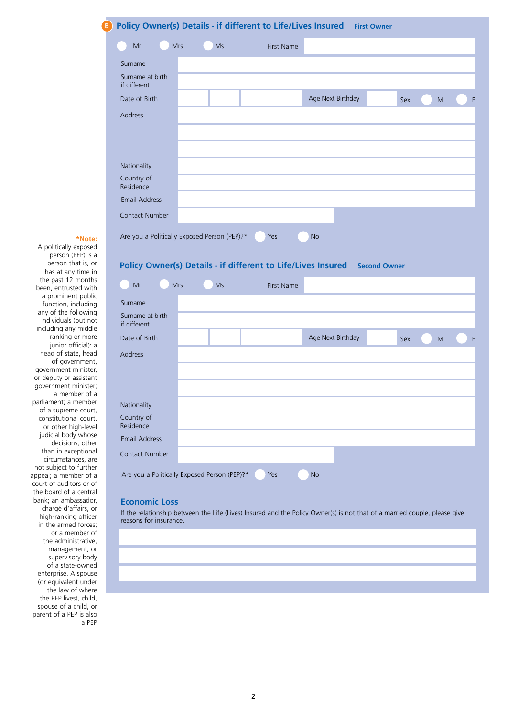# **B Policy Owner(s) Details - if different to Life/Lives Insured First Owner**

|        | .                                |                                              |            |                   |     |   |   |
|--------|----------------------------------|----------------------------------------------|------------|-------------------|-----|---|---|
|        | Mr<br>Mrs                        | <b>Ms</b>                                    | First Name |                   |     |   |   |
|        | Surname                          |                                              |            |                   |     |   |   |
|        | Surname at birth<br>if different |                                              |            |                   |     |   |   |
|        | Date of Birth                    |                                              |            | Age Next Birthday | Sex | M | F |
|        | Address                          |                                              |            |                   |     |   |   |
|        |                                  |                                              |            |                   |     |   |   |
|        |                                  |                                              |            |                   |     |   |   |
|        | Nationality                      |                                              |            |                   |     |   |   |
|        | Country of<br>Residence          |                                              |            |                   |     |   |   |
|        | Email Address                    |                                              |            |                   |     |   |   |
|        | Contact Number                   |                                              |            |                   |     |   |   |
| *Note: |                                  | Are you a Politically Exposed Person (PEP)?* | Yes        | <b>No</b>         |     |   |   |

A politically exposed person (PEP) is a person that is, or has at any time in the past 12 months been, entrusted with a prominent public function, including any of the following individuals (but not including any middle ranking or more junior official): a head of state, head of government, government minister, or deputy or assistant government minister; a member of a parliament; a member of a supreme court, constitutional court, or other high-level judicial body whose decisions, other than in exceptional circumstances, are not subject to further appeal; a member of a court of auditors or of the board of a central bank; an ambassador, chargé d'affairs, or high-ranking officer in the armed forces; or a member of the administrative, management, or supervisory body of a state-owned enterprise. A spouse (or equivalent under the law of where the PEP lives), child, spouse of a child, or parent of a PEP is also a PEP

# **Policy Owner(s) Details - if different to Life/Lives Insured Second Owner**

| Mr                                           | Mrs | Ms | First Name |           |                   |     |   |   |
|----------------------------------------------|-----|----|------------|-----------|-------------------|-----|---|---|
| Surname                                      |     |    |            |           |                   |     |   |   |
| Surname at birth<br>if different             |     |    |            |           |                   |     |   |   |
| Date of Birth                                |     |    |            |           | Age Next Birthday | Sex | M | F |
| <b>Address</b>                               |     |    |            |           |                   |     |   |   |
|                                              |     |    |            |           |                   |     |   |   |
|                                              |     |    |            |           |                   |     |   |   |
| Nationality                                  |     |    |            |           |                   |     |   |   |
| Country of<br>Residence                      |     |    |            |           |                   |     |   |   |
| <b>Email Address</b>                         |     |    |            |           |                   |     |   |   |
| Contact Number                               |     |    |            |           |                   |     |   |   |
| Are you a Politically Exposed Person (PEP)?* |     |    | Yes        | <b>No</b> |                   |     |   |   |

# **Economic Loss**

If the relationship between the Life (Lives) Insured and the Policy Owner(s) is not that of a married couple, please give reasons for insurance.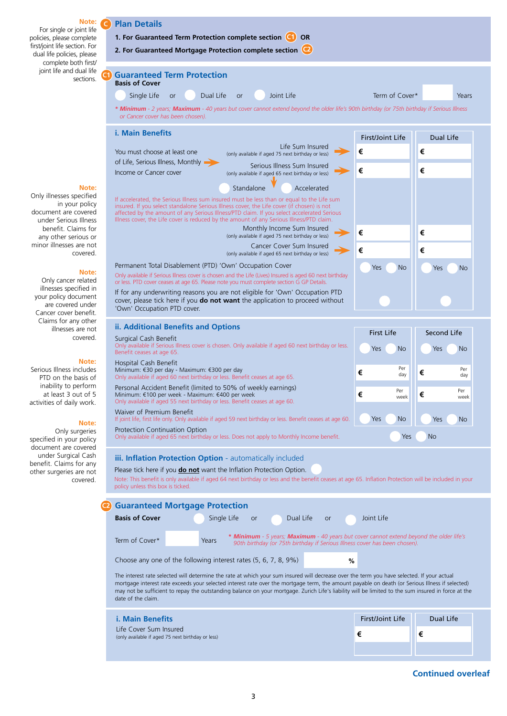

**Continued overleaf**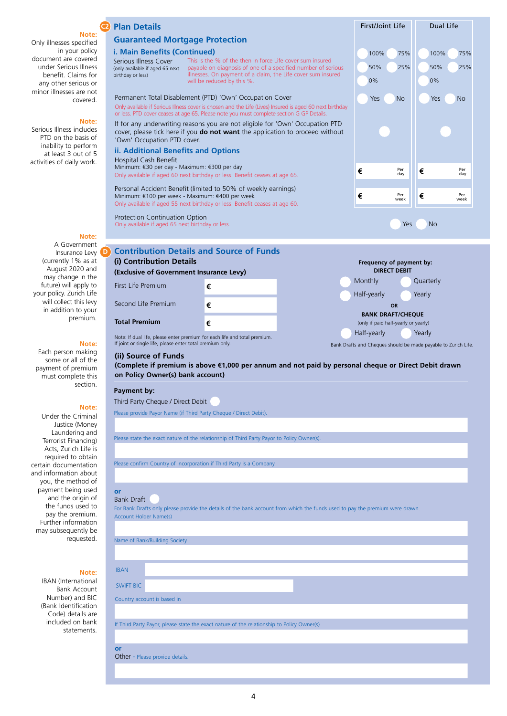|                                                   | <b>Plan Details</b>                                                                                                                                    |                                                                                                                                                                           | First/Joint Life                                    | Dual Life                                                      |
|---------------------------------------------------|--------------------------------------------------------------------------------------------------------------------------------------------------------|---------------------------------------------------------------------------------------------------------------------------------------------------------------------------|-----------------------------------------------------|----------------------------------------------------------------|
| Note:<br>Only illnesses specified                 | <b>Guaranteed Mortgage Protection</b>                                                                                                                  |                                                                                                                                                                           |                                                     |                                                                |
| in your policy                                    | i. Main Benefits (Continued)                                                                                                                           |                                                                                                                                                                           | 100%<br>75%                                         | 100%<br>75%                                                    |
| document are covered                              | Serious Illness Cover                                                                                                                                  | This is the % of the then in force Life cover sum insured                                                                                                                 |                                                     |                                                                |
| under Serious Illness<br>benefit. Claims for      | (only available if aged 65 next<br>birthday or less)                                                                                                   | payable on diagnosis of one of a specified number of serious<br>illnesses. On payment of a claim, the Life cover sum insured                                              | 50%<br>25%                                          | 50%<br>25%                                                     |
| any other serious or                              |                                                                                                                                                        | will be reduced by this %.                                                                                                                                                | 0%                                                  | 0%                                                             |
| minor illnesses are not<br>covered.               |                                                                                                                                                        | Permanent Total Disablement (PTD) 'Own' Occupation Cover                                                                                                                  | Yes<br><b>No</b>                                    | Yes<br><b>No</b>                                               |
|                                                   |                                                                                                                                                        | Only available if Serious Illness cover is chosen and the Life (Lives) Insured is aged 60 next birthday                                                                   |                                                     |                                                                |
| Note:                                             |                                                                                                                                                        | or less. PTD cover ceases at age 65. Please note you must complete section G GP Details.<br>If for any underwriting reasons you are not eligible for 'Own' Occupation PTD |                                                     |                                                                |
| Serious Illness includes<br>PTD on the basis of   | cover, please tick here if you <b>do not want</b> the application to proceed without                                                                   |                                                                                                                                                                           |                                                     |                                                                |
| inability to perform                              | 'Own' Occupation PTD cover.                                                                                                                            |                                                                                                                                                                           |                                                     |                                                                |
| at least 3 out of 5<br>activities of daily work.  | ii. Additional Benefits and Options<br>Hospital Cash Benefit                                                                                           |                                                                                                                                                                           |                                                     |                                                                |
|                                                   | Minimum: €30 per day - Maximum: €300 per day<br>Only available if aged 60 next birthday or less. Benefit ceases at age 65.                             |                                                                                                                                                                           | Per<br>€<br>day                                     | Per<br>€<br>day                                                |
|                                                   |                                                                                                                                                        |                                                                                                                                                                           |                                                     |                                                                |
|                                                   | Minimum: €100 per week - Maximum: €400 per week                                                                                                        | Personal Accident Benefit (limited to 50% of weekly earnings)                                                                                                             | Per<br>€                                            | Per<br>€                                                       |
|                                                   | Only available if aged 55 next birthday or less. Benefit ceases at age 60.                                                                             |                                                                                                                                                                           | week                                                | week                                                           |
|                                                   | Protection Continuation Option                                                                                                                         |                                                                                                                                                                           |                                                     |                                                                |
| Note:                                             | Only available if aged 65 next birthday or less.                                                                                                       |                                                                                                                                                                           | Yes                                                 | <b>No</b>                                                      |
| A Government                                      |                                                                                                                                                        |                                                                                                                                                                           |                                                     |                                                                |
| Insurance Levy                                    | <b>Contribution Details and Source of Funds</b>                                                                                                        |                                                                                                                                                                           |                                                     |                                                                |
| (currently 1% as at<br>August 2020 and            | (i) Contribution Details                                                                                                                               |                                                                                                                                                                           | Frequency of payment by:<br><b>DIRECT DEBIT</b>     |                                                                |
| may change in the                                 | (Exclusive of Government Insurance Levy)                                                                                                               |                                                                                                                                                                           | Monthly                                             | Quarterly                                                      |
| future) will apply to<br>your policy. Zurich Life | First Life Premium                                                                                                                                     | €                                                                                                                                                                         | Half-yearly                                         | Yearly                                                         |
| will collect this levy                            | Second Life Premium                                                                                                                                    | €                                                                                                                                                                         | <b>OR</b>                                           |                                                                |
| in addition to your<br>premium.                   |                                                                                                                                                        |                                                                                                                                                                           | <b>BANK DRAFT/CHEQUE</b>                            |                                                                |
|                                                   | <b>Total Premium</b>                                                                                                                                   | €                                                                                                                                                                         | (only if paid half-yearly or yearly)<br>Half-yearly | Yearly                                                         |
| Note:                                             | Note: If dual life, please enter premium for each life and total premium.<br>If joint or single life, please enter total premium only.                 |                                                                                                                                                                           |                                                     | Bank Drafts and Cheques should be made payable to Zurich Life. |
| Each person making<br>some or all of the          | (ii) Source of Funds                                                                                                                                   |                                                                                                                                                                           |                                                     |                                                                |
| payment of premium                                | (Complete if premium is above €1,000 per annum and not paid by personal cheque or Direct Debit drawn                                                   |                                                                                                                                                                           |                                                     |                                                                |
| must complete this                                | on Policy Owner(s) bank account)                                                                                                                       |                                                                                                                                                                           |                                                     |                                                                |
| section.                                          | Payment by:                                                                                                                                            |                                                                                                                                                                           |                                                     |                                                                |
| Note:                                             | Third Party Cheque / Direct Debit                                                                                                                      |                                                                                                                                                                           |                                                     |                                                                |
| Under the Criminal                                | Please provide Payor Name (if Third Party Cheque / Direct Debit).                                                                                      |                                                                                                                                                                           |                                                     |                                                                |
| Justice (Money                                    |                                                                                                                                                        |                                                                                                                                                                           |                                                     |                                                                |
| Laundering and<br>Terrorist Financing)            | Please state the exact nature of the relationship of Third Party Payor to Policy Owner(s).                                                             |                                                                                                                                                                           |                                                     |                                                                |
| Acts, Zurich Life is                              |                                                                                                                                                        |                                                                                                                                                                           |                                                     |                                                                |
| required to obtain<br>certain documentation       | Please confirm Country of Incorporation if Third Party is a Company.                                                                                   |                                                                                                                                                                           |                                                     |                                                                |
| and information about                             |                                                                                                                                                        |                                                                                                                                                                           |                                                     |                                                                |
| you, the method of<br>payment being used          | <b>or</b>                                                                                                                                              |                                                                                                                                                                           |                                                     |                                                                |
| and the origin of                                 | <b>Bank Draft</b>                                                                                                                                      |                                                                                                                                                                           |                                                     |                                                                |
| the funds used to<br>pay the premium.             | For Bank Drafts only please provide the details of the bank account from which the funds used to pay the premium were drawn.<br>Account Holder Name(s) |                                                                                                                                                                           |                                                     |                                                                |
| Further information                               |                                                                                                                                                        |                                                                                                                                                                           |                                                     |                                                                |
| may subsequently be<br>requested.                 | Name of Bank/Building Society                                                                                                                          |                                                                                                                                                                           |                                                     |                                                                |
|                                                   |                                                                                                                                                        |                                                                                                                                                                           |                                                     |                                                                |
|                                                   |                                                                                                                                                        |                                                                                                                                                                           |                                                     |                                                                |
| Note:                                             | <b>IBAN</b>                                                                                                                                            |                                                                                                                                                                           |                                                     |                                                                |
| <b>IBAN</b> (International<br><b>Bank Account</b> | <b>SWIFT BIC</b>                                                                                                                                       |                                                                                                                                                                           |                                                     |                                                                |
| Number) and BIC                                   | Country account is based in                                                                                                                            |                                                                                                                                                                           |                                                     |                                                                |
| (Bank Identification<br>Code) details are         |                                                                                                                                                        |                                                                                                                                                                           |                                                     |                                                                |
| included on bank                                  |                                                                                                                                                        | If Third Party Payor, please state the exact nature of the relationship to Policy Owner(s).                                                                               |                                                     |                                                                |
| statements.                                       |                                                                                                                                                        |                                                                                                                                                                           |                                                     |                                                                |
|                                                   | or                                                                                                                                                     |                                                                                                                                                                           |                                                     |                                                                |
|                                                   | Other - Please provide details.                                                                                                                        |                                                                                                                                                                           |                                                     |                                                                |

4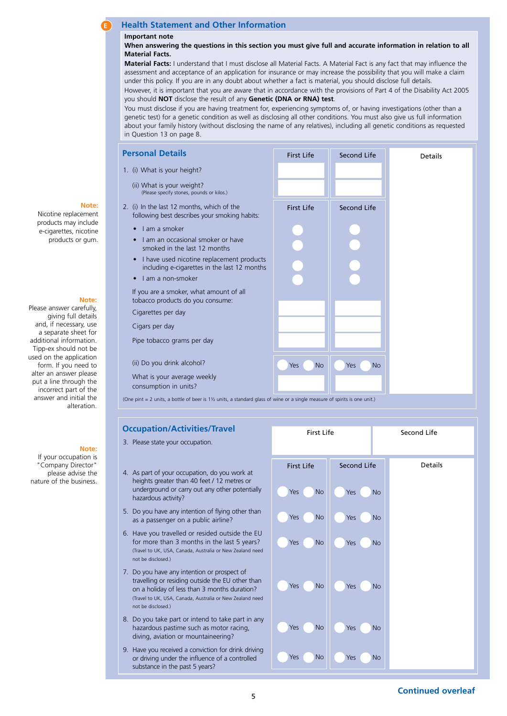# **E Health Statement and Other Information**

#### **Important note**

**When answering the questions in this section you must give full and accurate information in relation to all Material Facts.** 

**Material Facts:** I understand that I must disclose all Material Facts. A Material Fact is any fact that may influence the assessment and acceptance of an application for insurance or may increase the possibility that you will make a claim under this policy. If you are in any doubt about whether a fact is material, you should disclose full details.

However, it is important that you are aware that in accordance with the provisions of Part 4 of the Disability Act 2005 you should **NOT** disclose the result of any **Genetic (DNA or RNA) test**.

You must disclose if you are having treatment for, experiencing symptoms of, or having investigations (other than a genetic test) for a genetic condition as well as disclosing all other conditions. You must also give us full information about your family history (without disclosing the name of any relatives), including all genetic conditions as requested in Question 13 on page 8.

| <b>Personal Details</b>                                                                                                              | <b>First Life</b> | Second Life        | Details |
|--------------------------------------------------------------------------------------------------------------------------------------|-------------------|--------------------|---------|
| 1. (i) What is your height?                                                                                                          |                   |                    |         |
| (ii) What is your weight?<br>(Please specify stones, pounds or kilos.)                                                               |                   |                    |         |
| 2. (i) In the last 12 months, which of the<br>following best describes your smoking habits:                                          | <b>First Life</b> | <b>Second Life</b> |         |
| Lam a smoker<br>$\bullet$                                                                                                            |                   |                    |         |
| I am an occasional smoker or have<br>$\bullet$<br>smoked in the last 12 months                                                       |                   |                    |         |
| I have used nicotine replacement products<br>$\bullet$<br>including e-cigarettes in the last 12 months                               |                   |                    |         |
| I am a non-smoker<br>$\bullet$                                                                                                       |                   |                    |         |
| If you are a smoker, what amount of all<br>tobacco products do you consume:                                                          |                   |                    |         |
| Cigarettes per day                                                                                                                   |                   |                    |         |
| Cigars per day                                                                                                                       |                   |                    |         |
| Pipe tobacco grams per day                                                                                                           |                   |                    |         |
| (ii) Do you drink alcohol?                                                                                                           | Yes<br><b>No</b>  | No<br>Yes          |         |
| What is your average weekly<br>consumption in units?                                                                                 |                   |                    |         |
| (One pint = 2 units, a bottle of beer is $1\frac{1}{2}$ units, a standard glass of wine or a single measure of spirits is one unit.) |                   |                    |         |

### **Occupation/Activities/Travel**



# **Note:**

Nicotine replacement products may include e-cigarettes, nicotine products or gum.

# **Note:**

Please answer carefully, giving full details and, if necessary, use a separate sheet for additional information. Tipp-ex should not be used on the application form. If you need to alter an answer please put a line through the incorrect part of the answer and initial the alteration.

# **Note:**

If your occupation is "Company Director" please advise the nature of the business.

- 3. Please state your occupation.
	- 4. As part of your occupation, do you work at heights greater than 40 feet / 12 metres or underground or carry out any other potentially hazardous activity?
	- 5. Do you have any intention of flying other than as a passenger on a public airline?
	- 6. Have you travelled or resided outside the EU for more than 3 months in the last 5 years? (Travel to UK, USA, Canada, Australia or New Zealand need not be disclosed.)
	- 7. Do you have any intention or prospect of travelling or residing outside the EU other than on a holiday of less than 3 months duration? (Travel to UK, USA, Canada, Australia or New Zealand need not be disclosed.)
	- 8. Do you take part or intend to take part in any hazardous pastime such as motor racing, diving, aviation or mountaineering?
	- 9. Have you received a conviction for drink driving or driving under the influence of a controlled substance in the past 5 years?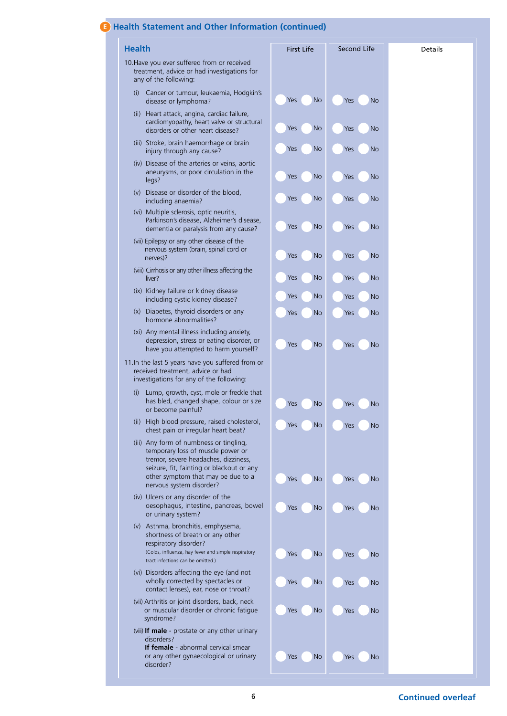# **E Health Statement and Other Information (continued)**

| <b>Health</b>                                                                                                                                                                                                                       | <b>First Life</b> | Second Life      | <b>Details</b> |
|-------------------------------------------------------------------------------------------------------------------------------------------------------------------------------------------------------------------------------------|-------------------|------------------|----------------|
| 10. Have you ever suffered from or received<br>treatment, advice or had investigations for<br>any of the following:                                                                                                                 |                   |                  |                |
| Cancer or tumour, leukaemia, Hodgkin's<br>(i)<br>disease or lymphoma?                                                                                                                                                               | <b>No</b><br>Yes  | Yes<br>No        |                |
| (ii) Heart attack, angina, cardiac failure,<br>cardiomyopathy, heart valve or structural<br>disorders or other heart disease?                                                                                                       | <b>No</b><br>Yes  | <b>No</b><br>Yes |                |
| (iii) Stroke, brain haemorrhage or brain<br>injury through any cause?                                                                                                                                                               | Yes<br>No         | No<br>Yes        |                |
| (iv) Disease of the arteries or veins, aortic<br>aneurysms, or poor circulation in the<br>legs?                                                                                                                                     | <b>No</b><br>Yes  | Yes<br>No        |                |
| (v) Disease or disorder of the blood,<br>including anaemia?                                                                                                                                                                         | <b>No</b><br>Yes  | Yes<br>No        |                |
| (vi) Multiple sclerosis, optic neuritis,<br>Parkinson's disease, Alzheimer's disease,<br>dementia or paralysis from any cause?                                                                                                      | <b>No</b><br>Yes  | No<br>Yes        |                |
| (vii) Epilepsy or any other disease of the<br>nervous system (brain, spinal cord or<br>nerves)?                                                                                                                                     | <b>No</b><br>Yes  | No<br>Yes        |                |
| (viii) Cirrhosis or any other illness affecting the<br>liver?                                                                                                                                                                       | <b>No</b><br>Yes  | No<br>Yes        |                |
| (ix) Kidney failure or kidney disease<br>including cystic kidney disease?                                                                                                                                                           | <b>No</b><br>Yes  | Yes<br>No        |                |
| (x) Diabetes, thyroid disorders or any<br>hormone abnormalities?                                                                                                                                                                    | <b>No</b><br>Yes  | No<br>Yes        |                |
| (xi) Any mental illness including anxiety,<br>depression, stress or eating disorder, or<br>have you attempted to harm yourself?                                                                                                     | <b>No</b><br>Yes  | Yes<br>No        |                |
| 11. In the last 5 years have you suffered from or<br>received treatment, advice or had<br>investigations for any of the following:                                                                                                  |                   |                  |                |
| Lump, growth, cyst, mole or freckle that<br>(i)<br>has bled, changed shape, colour or size<br>or become painful?                                                                                                                    | <b>No</b><br>Yes  | Yes<br>No        |                |
| (ii) High blood pressure, raised cholesterol,<br>chest pain or irregular heart beat?                                                                                                                                                | <b>No</b><br>Yes  | No<br>Yes        |                |
| (iii) Any form of numbness or tingling,<br>temporary loss of muscle power or<br>tremor, severe headaches, dizziness,<br>seizure, fit, fainting or blackout or any<br>other symptom that may be due to a<br>nervous system disorder? | <b>No</b><br>Yes  | Yes<br>No        |                |
| (iv) Ulcers or any disorder of the<br>oesophagus, intestine, pancreas, bowel<br>or urinary system?                                                                                                                                  | No<br>Yes         | No<br>Yes        |                |
| (v) Asthma, bronchitis, emphysema,<br>shortness of breath or any other<br>respiratory disorder?<br>(Colds, influenza, hay fever and simple respiratory<br>tract infections can be omitted.)                                         | <b>No</b><br>Yes  | Yes<br>No        |                |
| (vi) Disorders affecting the eye (and not<br>wholly corrected by spectacles or<br>contact lenses), ear, nose or throat?                                                                                                             | No<br>Yes         | No<br>Yes        |                |
| (vii) Arthritis or joint disorders, back, neck<br>or muscular disorder or chronic fatigue<br>syndrome?                                                                                                                              | <b>No</b><br>Yes  | Yes<br>No        |                |
| (viii) If male - prostate or any other urinary<br>disorders?<br>If female - abnormal cervical smear                                                                                                                                 |                   |                  |                |
| or any other gynaecological or urinary<br>disorder?                                                                                                                                                                                 | <b>No</b><br>Yes  | Yes<br>No        |                |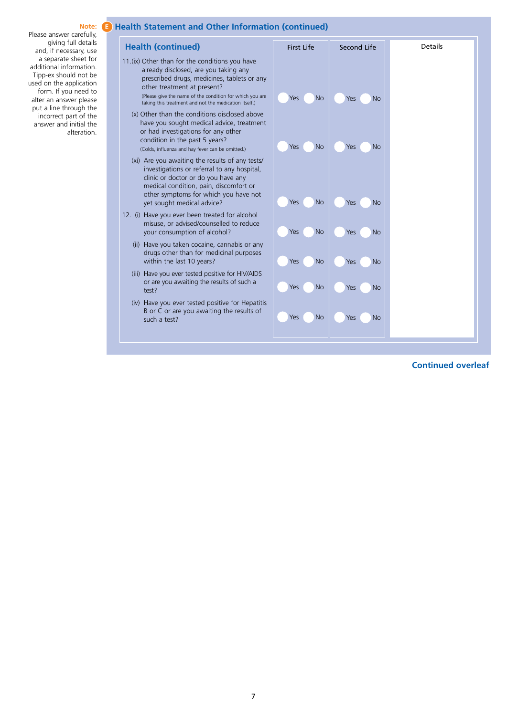#### Please answer carefully, giving full details and, if necessary, use a separate sheet for additional information. Tipp-ex should not be used on the application form. If you need to alter an answer please put a line through the incorrect part of the answer and initial the alteration.

# **Note: E Health Statement and Other Information (continued)**

| <b>Health (continued)</b>                                                                                                                                                                                                                                                                   | <b>First Life</b>       | Second Life      | Details |
|---------------------------------------------------------------------------------------------------------------------------------------------------------------------------------------------------------------------------------------------------------------------------------------------|-------------------------|------------------|---------|
| 11. (ix) Other than for the conditions you have<br>already disclosed, are you taking any<br>prescribed drugs, medicines, tablets or any<br>other treatment at present?<br>(Please give the name of the condition for which you are<br>taking this treatment and not the medication itself.) | Yes<br><b>No</b>        | Yes<br><b>No</b> |         |
| (x) Other than the conditions disclosed above<br>have you sought medical advice, treatment<br>or had investigations for any other<br>condition in the past 5 years?<br>(Colds, influenza and hay fever can be omitted.)                                                                     | <b>No</b><br><b>Yes</b> | Yes<br><b>No</b> |         |
| (xi) Are you awaiting the results of any tests/<br>investigations or referral to any hospital,<br>clinic or doctor or do you have any<br>medical condition, pain, discomfort or<br>other symptoms for which you have not<br>yet sought medical advice?                                      | <b>No</b><br>Yes        | Yes<br><b>No</b> |         |
| 12. (i) Have you ever been treated for alcohol<br>misuse, or advised/counselled to reduce<br>your consumption of alcohol?                                                                                                                                                                   | <b>No</b><br>Yes        | Yes<br><b>No</b> |         |
| (ii) Have you taken cocaine, cannabis or any<br>drugs other than for medicinal purposes<br>within the last 10 years?                                                                                                                                                                        | <b>No</b><br>Yes        | Yes<br><b>No</b> |         |
| (iii) Have you ever tested positive for HIV/AIDS<br>or are you awaiting the results of such a<br>test?                                                                                                                                                                                      | <b>No</b><br>Yes        | <b>No</b><br>Yes |         |
| (iv) Have you ever tested positive for Hepatitis<br>B or C or are you awaiting the results of<br>such a test?                                                                                                                                                                               | <b>No</b><br>Yes        | Yes<br><b>No</b> |         |

# **Continued overleaf**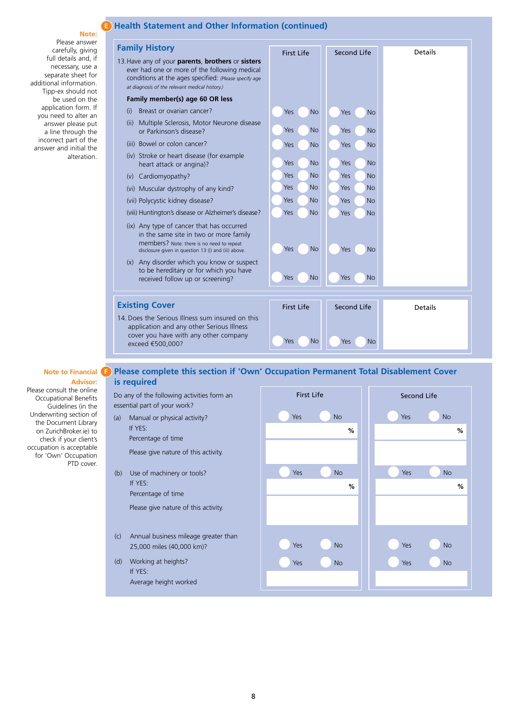#### **Note:**

#### Please answer carefully, giving full details and, if necessary, use a separate sheet for additional information. Tipp-ex should not be used on the application form. If you need to alter an answer please put a line through the incorrect part of the answer and initial the alteration.

# **E Health Statement and Other Information (continued)**

| <b>Family History</b>                                                                                                                                                                                         | First Life        | Second Life      | <b>Details</b> |
|---------------------------------------------------------------------------------------------------------------------------------------------------------------------------------------------------------------|-------------------|------------------|----------------|
| 13. Have any of your parents, brothers or sisters<br>ever had one or more of the following medical<br>conditions at the ages specified: (Please specify age<br>at diagnosis of the relevant medical history.) |                   |                  |                |
| Family member(s) age 60 OR less                                                                                                                                                                               |                   |                  |                |
| Breast or ovarian cancer?<br>(i)                                                                                                                                                                              | Yes<br><b>No</b>  | Yes<br><b>No</b> |                |
| Multiple Sclerosis, Motor Neurone disease<br>(ii)<br>or Parkinson's disease?                                                                                                                                  | <b>No</b><br>Yes  | Yes<br><b>No</b> |                |
| (iii) Bowel or colon cancer?                                                                                                                                                                                  | Yes<br><b>No</b>  | <b>No</b><br>Yes |                |
| (iv) Stroke or heart disease (for example<br>heart attack or angina)?                                                                                                                                         | <b>No</b><br>Yes  | <b>No</b><br>Yes |                |
| Cardiomyopathy?<br>(v)                                                                                                                                                                                        | Yes<br>No         | Yes<br><b>No</b> |                |
| (vi) Muscular dystrophy of any kind?                                                                                                                                                                          | Yes<br>No         | Yes<br><b>No</b> |                |
| (vii) Polycystic kidney disease?                                                                                                                                                                              | <b>No</b><br>Yes  | Yes<br><b>No</b> |                |
| (viii) Huntington's disease or Alzheimer's disease?                                                                                                                                                           | <b>No</b><br>Yes  | Yes<br><b>No</b> |                |
| (ix) Any type of cancer that has occurred<br>in the same site in two or more family<br>members? Note: there is no need to repeat<br>disclosure given in question 13 (i) and (iii) above.                      | Yes<br><b>No</b>  | No<br>Yes        |                |
| Any disorder which you know or suspect<br>(x)<br>to be hereditary or for which you have<br>received follow up or screening?                                                                                   | <b>No</b><br>Yes  | <b>No</b><br>Yes |                |
| <b>Existing Cover</b>                                                                                                                                                                                         | <b>First Life</b> | Second Life      | <b>Details</b> |
| 14. Does the Serious Illness sum insured on this<br>application and any other Serious Illness<br>cover you have with any other company<br>exceed €500,000?                                                    | Yes<br>No         | <b>No</b><br>Yes |                |

#### **Note to Financial Advisor:**

Please consult the online Occupational Benefits Guidelines (in the Underwriting section of the Document Library on ZurichBroker.ie) to check if your client's occupation is acceptable for 'Own' Occupation PTD cover.

# **Please complete this section if 'Own' Occupation Permanent Total Disablement Cover is required**

Do any of the following activities form an essential part of your work? (a) Manual or physical activity?

Percentage of time

If YES:

Please give nature of this activity.

(b) Use of machinery or tools? If YES: Percentage of time

Please give nature of this activity.

- (c) Annual business mileage greater than 25,000 miles (40,000 km)?
- (d) Working at heights? If YES: Average height worked

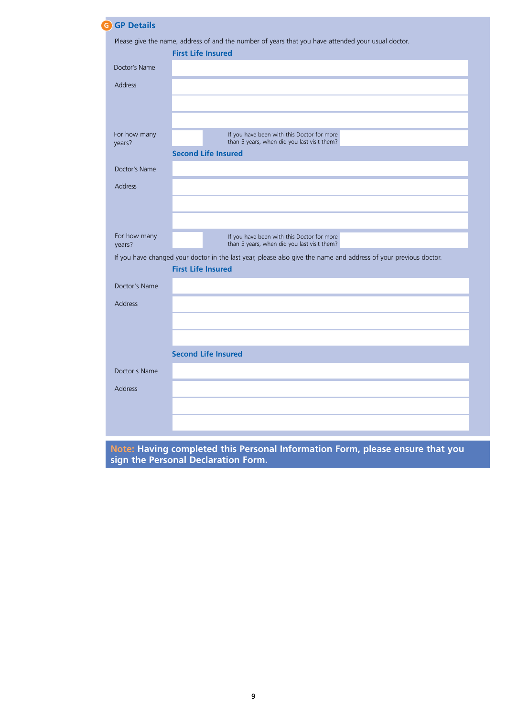| <b>GP Details</b><br>G                                                                                           |                                                                                           |
|------------------------------------------------------------------------------------------------------------------|-------------------------------------------------------------------------------------------|
| Please give the name, address of and the number of years that you have attended your usual doctor.               |                                                                                           |
|                                                                                                                  | <b>First Life Insured</b>                                                                 |
| Doctor's Name                                                                                                    |                                                                                           |
| <b>Address</b>                                                                                                   |                                                                                           |
|                                                                                                                  |                                                                                           |
|                                                                                                                  |                                                                                           |
| For how many<br>years?                                                                                           | If you have been with this Doctor for more<br>than 5 years, when did you last visit them? |
|                                                                                                                  | <b>Second Life Insured</b>                                                                |
| Doctor's Name                                                                                                    |                                                                                           |
| <b>Address</b>                                                                                                   |                                                                                           |
|                                                                                                                  |                                                                                           |
|                                                                                                                  |                                                                                           |
| For how many<br>years?                                                                                           | If you have been with this Doctor for more<br>than 5 years, when did you last visit them? |
| If you have changed your doctor in the last year, please also give the name and address of your previous doctor. |                                                                                           |
|                                                                                                                  | <b>First Life Insured</b>                                                                 |
| Doctor's Name                                                                                                    |                                                                                           |
| <b>Address</b>                                                                                                   |                                                                                           |
|                                                                                                                  |                                                                                           |
|                                                                                                                  |                                                                                           |
|                                                                                                                  | <b>Second Life Insured</b>                                                                |
| Doctor's Name                                                                                                    |                                                                                           |
| <b>Address</b>                                                                                                   |                                                                                           |
|                                                                                                                  |                                                                                           |
|                                                                                                                  |                                                                                           |
|                                                                                                                  |                                                                                           |

**Note: Having completed this Personal Information Form, please ensure that you sign the Personal Declaration Form.**